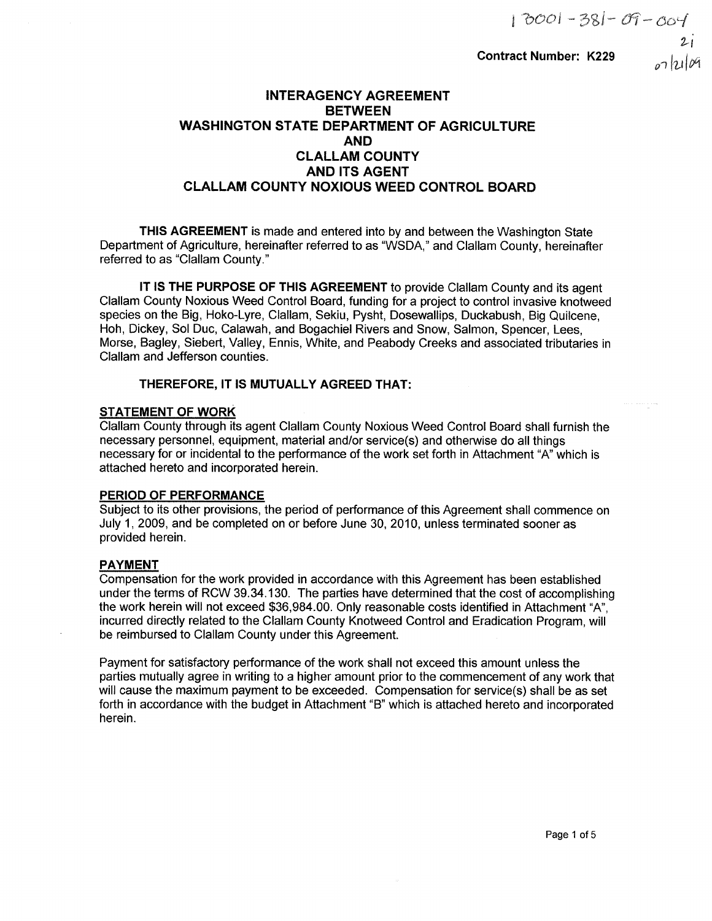$07$ lzilog

# Contract Number: K229

# INTERAGENCY AGREEMENT **BETWEEN** WASHINGTON STATE DEPARTMENT OF AGRICULTURE AND CLALLAM COUNTY AND ITS AGENT CLALLAM COUNTY NOXIOUS WEED CONTROL BOARD

THIS AGREEMENT is made and entered into by and between the Washington State Department of Agriculture, hereinafter referred to as "WSDA," and Clallam County, hereinafter referred to as "Clallam County."

lT lS THE PURPOSE OF THIS AGREEMENT to provide Clallam County and its agent Clallam County Noxious Weed Control Board, funding for a project to control invasive knotweed species on the Big, Hoko-Lyre, Clallam, Sekiu, Pysht, Dosewallips, Duckabush, Big Quilcene, Hoh, Dickey, Sol Duc, Calawah, and Bogachiel Rivers and Snow, Salmon, Spencer, Lees, Morse, Bagley, Siebert, Valley, Ennis, White, and Peabody Creeks and associated tributaries in Clallam and Jefferson counties.

# THEREFORE, IT IS MUTUALLY AGREED THAT:

# STATEMENT OF WORK

Clallam County through its agent Clallam County Noxious Weed Control Board shall furnish the necessary personnel, equipment, material and/or service(s) and othenrise do all things necessary for or incidental to the performance of the work set forth in Attachment "4" which is attached hereto and incorporated herein.

# PERIOD OF PERFORMANCE

Subject to its other provisions, the period of performance of this Agreement shall commence on July 1, 2009, and be completed on or before June 30, 2010, unless terminated sooner as provided herein.

# PAYMENT

Compensation for the work provided in accordance with this Agreement has been established under the terms of RCW 39.34.130. The parties have determined that the cost of accomplishing the work herein will not exceed \$36,984.00. Only reasonable costs identified in Attachment "A", incurred directly related to the Clallam County Knotweed Control and Eradication Program, will be reimbursed to Clallam County under this Agreement.

Payment for satisfactory performance of the work shall not exceed this amount unless the parties mutually agree in writing to a higher amount prior to the commencement of any work that will cause the maximum payment to be exceeded. Compensation for service(s) shall be as set forth in accordance with the budget in Attachment "B" which is attached hereto and incorporated herein.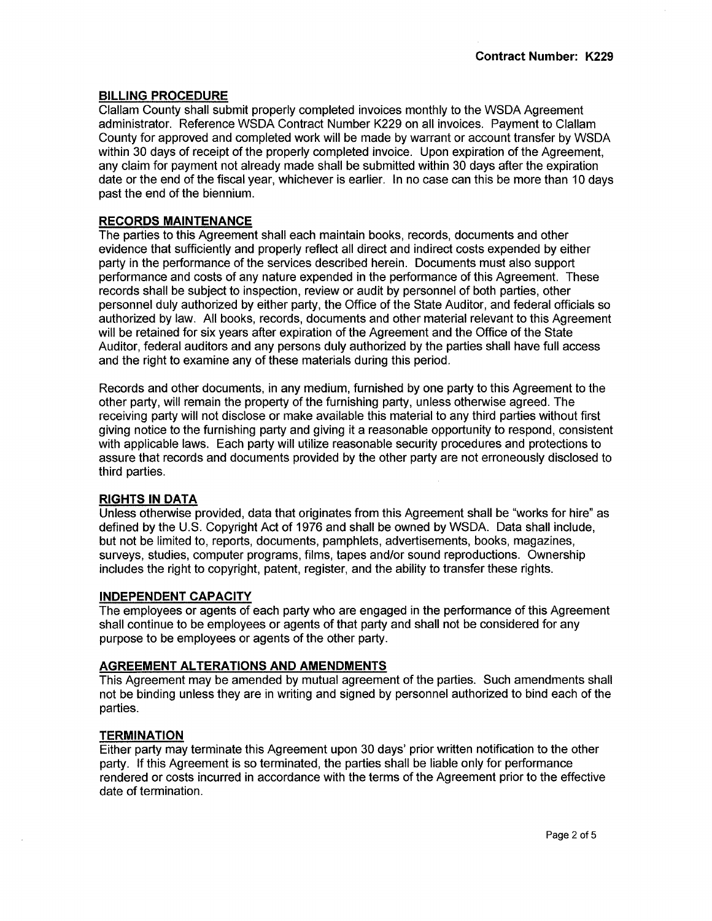### BILLING PROCEDURE

Clallam County shall submit properly completed invoices monthly to the WSDA Agreement administrator. Reference WSDA Contract Number K229 on all invoices. Payment to Clallam County for approved and completed work will be made by warrant or account transfer by WSDA within 30 days of receipt of the properly completed invoice. Upon expiration of the Agreement, any claim for payment not already made shall be submitted within 30 days after the expiration date or the end of the fiscal year, whichever is earlier. ln no case can this be more than 10 days past the end of the biennium.

### **RECORDS MAINTENANCE**

The parties to this Agreement shall each maintain books, records, documents and other evidence that sufficiently and properly reflect all direct and indirect costs expended by either party in the performance of the services described herein. Documents must also support performance and costs of any nature expended in the performance of this Agreement. These records shall be subject to inspection, review or audit by personnel of both parties, other personnel duly authorized by either party, the Office of the State Auditor, and federal officials so authorized by law. All books, records, documents and other material relevant to this Agreement will be retained for six years after expiration of the Agreement and the Office of the State Auditor, federal auditors and any persons duly authorized by the parties shall have full access and the right to examine any of these materials during this period.

Records and other documents, in any medium, furnished by one party to this Agreement to the other party, will remain the property of the furníshing party, unless otherwise agreed. The receiving party will not disclose or make available this material to any third parties without first giving notice to the furnishing party and giving it a reasonable opportunity to respond, consistent with applicable laws. Each party will utilize reasonable security procedures and protections to assure that records and documents provided by the other party are not erroneously disclosed to third parties.

#### RIGHTS IN DATA

Unless otherwise provided, data that originates from this Agreement shall be "works for hire" as defined by the U.S. Copyright Act of 1976 and shall be owned by WSDA. Data shall include, but not be limited to, reports, documents, pamphlets, advertisements, books, magazines, surveys, studies, computer programs, films, tapes and/or sound reproductions. Ownership includes the right to copyright, patent, register, and the ability to transfer these rights.

#### INDEPENDENT CAPACITY

The employees or agents of each party who are engaged in the performance of this Agreement shall continue to be employees or agents of that party and shall not be considered for any purpose to be employees or agents of the other party.

#### AGREEMENT ALTERATIONS AND AMENDMENTS

This Agreement may be amended by mutual agreement of the parties. Such amendments shall not be binding unless they are in writing and signed by personnel authorized to bind each of the parties.

#### **TERMINATION**

Either party may terminate this Agreement upon 30 days' prior written notification to the other party. lf this Agreement is so terminated, the parties shall be liable only for performance rendered or costs incurred in accordance with the terms of the Agreement prior to the effective date of termination.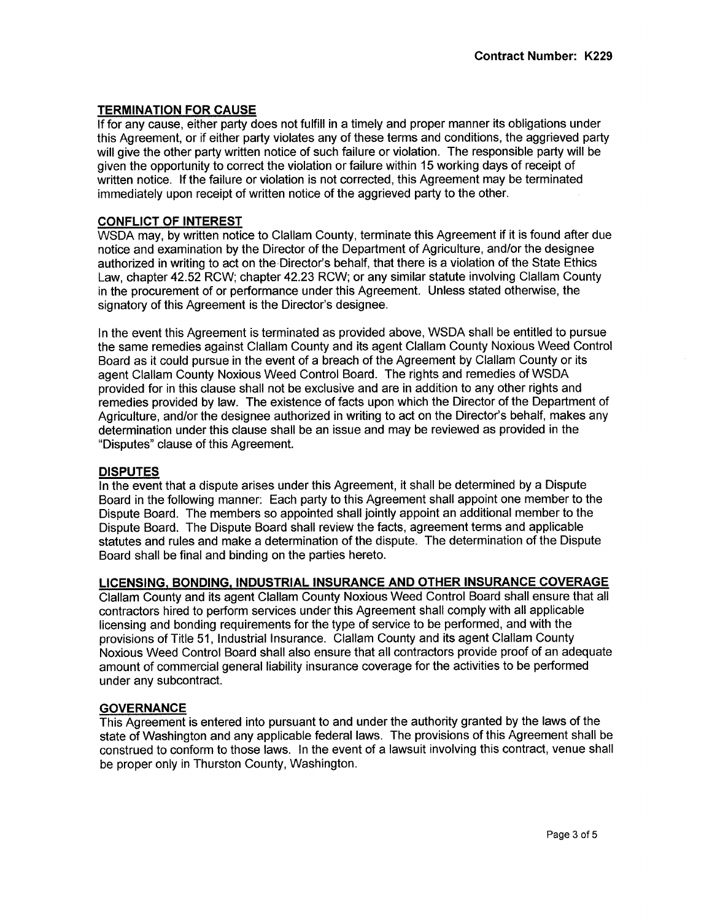## TERMINATION FOR CAUSE

lf for any cause, either party does not fulfill in a timely and proper manner its obligations under this Agreement, or if either party violates any of these terms and conditions, the aggrieved party will give the other party written notice of such failure or violation. The responsible party will be given the opportunity to correct the violation or failure within 15 working days of receipt of written notice. lf the failure or violation is not corrected, this Agreement may be terminated immediately upon receipt of written notice of the aggrieved party to the other.

## CONFLICT OF INTEREST

WSDA may, by written notice to Clallam County, terminate this Agreement if it is found after due notice and examination by the Director of the Department of Agriculture, and/or the designee authorized in writing to act on the Director's behalf, that there is a violation of the State Ethics Law, chapter 42.52 RCW; chapter 42.23 RCW; or any similar statute involving Clallam County in the procurement of or performance under this Agreement. Unless stated otherwise, the signatory of this Agreement is the Director's designee.

ln the event this Agreement is terminated as provided above, WSDA shall be entitted to pursue the same remedies against Clallam County and its agent Clallam County Noxious Weed Control Board as it could pursue in the event of a breach of the Agreement by Clallam County or its agent Clallam County Noxious Weed Control Board. The rights and remedies of WSDA provided for in this clause shall not be exclusive and are in addition to any other rights and remedies provided by law. The existence of facts upon which the Director of the Department of Agriculture, and/or the designee authorized in writing to act on the Director's behalf, makes any determination under this clause shall be an issue and may be reviewed as provided in the "Disputes" clause of this Agreement.

## DISPUTES

ln the event that a dispute arises under this Agreement, it shall be determined by a Dispute Board in the following manner: Each party to this Agreement shall appoint one member to the Dispute Board. The members so appointed shalljointly appoint an additional member to the Dispute Board. The Dispute Board shall review the facts, agreement terms and applicable statutes and rules and make a determination of the dispute. The determination of the Dispute Board shall be final and binding on the parties hereto.

## LICENSING, BONDING, INDUSTRIAL INSURANCE AND OTHER INSURANCE COVERAGE

Clallam County and its agent Clallam County Noxious Weed Control Board shall ensure that all contractors hired to perform services under this Agreement shall comply with all applicable licensing and bonding requirements for the type of service to be performed, and with the provisions of Title 51, lndustrial lnsurance. Clallam County and its agent Clallam County Noxious Weed Control Board shall also ensure that all contractors provide proof of an adequate amount of commercial general liability insurance coverage for the activities to be performed under any subcontract.

## **GOVERNANCE**

This Agreement is entered into pursuant to and under the authority granted by the laws of the state of Washington and any applicable federal laws. The provisions of this Agreement shall be construed to conform to those laws. ln the event of a lawsuit involving this contract, venue shall be proper only in Thurston County, Washington.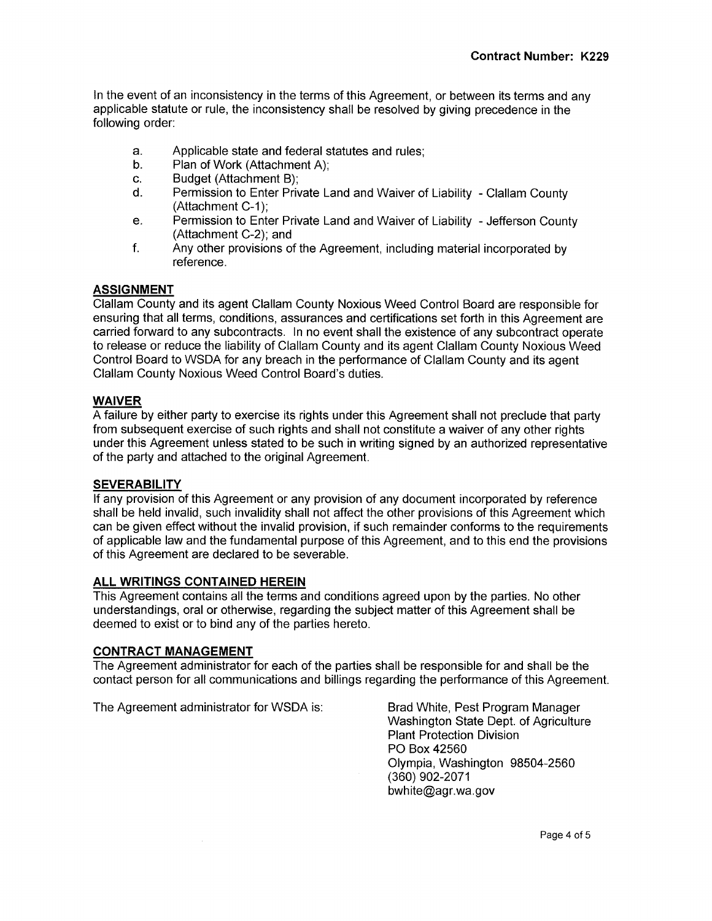ln the event of an inconsistency in the terms of this Agreement, or between its terms and any applicable statute or rule, the inconsistency shall be resolved by giving precedence in the following order:

- Applicable state and federal statutes and rules; a.
- Plan of Work (Attachment A); b.
- Budget (Attachment B); c.
- Permission to Enter Private Land and Waiver of Liability Clallam County (Attachment C-1); d.
- Permission to Enter Private Land and Waiver of Liability Jefferson County (Attachment C-2); and e.
- Any other provisions of the Agreement, including material incorporated by reference. f.

# ASSIGNMENT

Clallam County and its agent Clallam County Noxious Weed Control Board are responsible for ensuring that all terms, conditions, assurances and certifications set forth in this Agreement are carried forward to any subcontracts. ln no event shall the existence of any subcontract operate to release or reduce the liability of Clallam County and its agent Clallam County Noxious Weed Control Board to WSDA for any breach in the performance of Clallam County and its agent Clallam County Noxious Weed Control Board's duties.

## WAIVER

A failure by either party to exercise its rights under this Agreement shall not preclude that party from subsequent exercise of such rights and shall not constitute a waiver of any other rights under this Agreement unless stated to be such in writing signed by an authorized representative of the party and attached to the original Agreement.

## **SEVERABILITY**

lf any provision of this Agreement or any provision of any document incorporated by reference shall be held invalid, such invalidity shall not affect the other provisions of this Agreement which can be given effect without the invalid provision, if such remainder conforms to the requirements of applicable law and the fundamental purpose of this Agreement, and to this end the provisions of this Agreement are declared to be severable.

## ALL WRITINGS CONTAINED HEREIN

This Agreement contains all the terms and conditions agreed upon by the parties. No other understandings, oral or otherwise, regarding the subject matter of this Agreement shall be deemed to exist or to bind any of the parties hereto.

#### CONTRACT MANAGEMENT

The Agreement administrator for each of the parties shall be responsible for and shall be the contact person for all communications and billings regarding the performance of this Agreement.

The Agreement administrator for WSDA is: Brad White, Pest Program Manager

Washington State Dept. of Agriculture Plant Protection Division PO Box 42560 Olympia, Washington 98504-2560 (360) 902-2071 bwhite@agr.wa.gov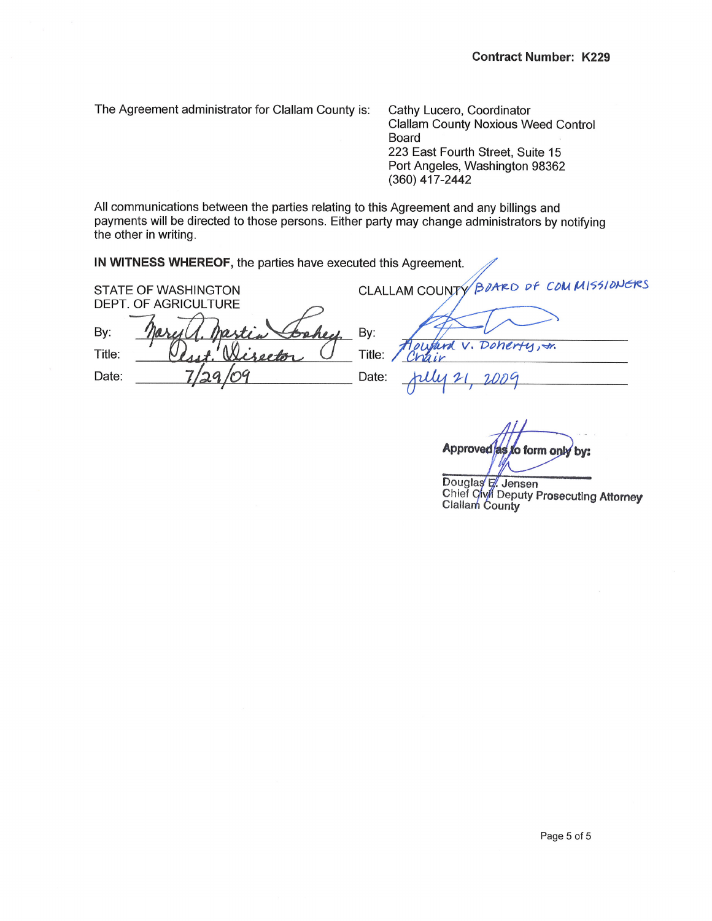The Agreement administrator for Clallam County is: Cathy Lucero, Coordinator

Clallam County Noxious Weed Control Board 223 East Fourth Street, Suite 15 Port Angeles, Washington 98362 (360) 417-2442

All communications between the parties relating to this Agreement and any billings and payments will be directed to those persons. Either party may change administrators by notifying the other in writing.

lN WTNESS WHEREOF, the parties have executed this Agreement.

BOARD OF COMMISSIONERS STATE OF WASHINGTON **CLALLAM COUNTY** DEPT. OF AGRICULTURE By: By: Doherty, tr.  $V_{1}$ Title: Title: Date: Date:  $21$  $200<sup>o</sup>$ h

Approved as to form only by:

Douglas E. Jensen<br>Chief Civin Deputy Prosecuting Attorney **Clallam County**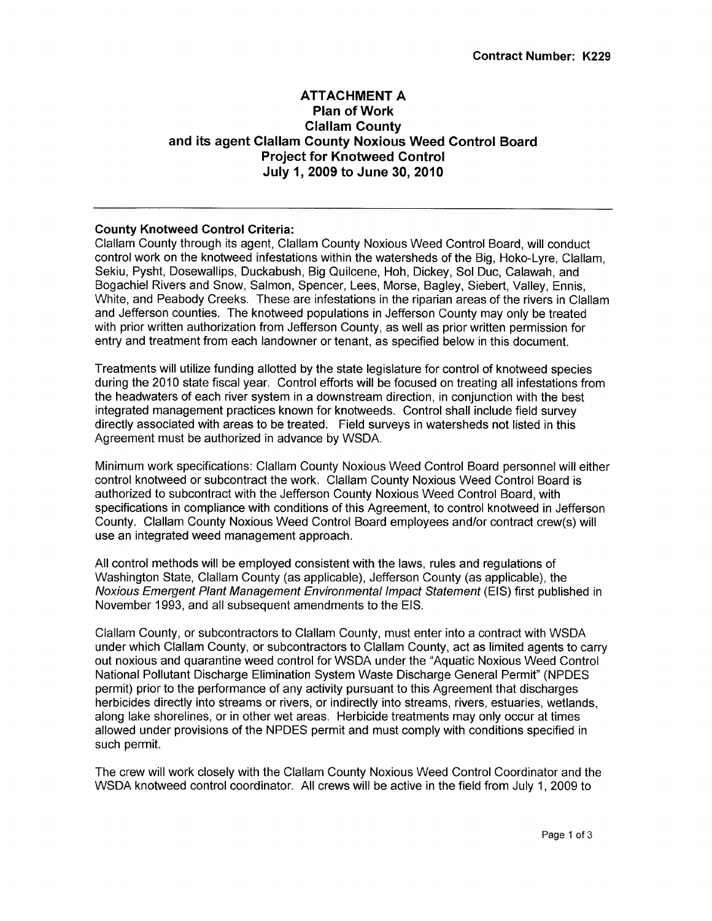# ATTACHMENT A Plan of Work Clallam County and its agent Clallam County Noxious Weed Control Board Project for Knotweed Gontrol July 1,2009 to June 30,2010

## County Knotweed Control Criteria:

Clallam County through its agent, Clallam County Noxious Weed Control Board, will conduct control work on the knotweed infestations within the watersheds of the Big, Hoko-Lyre, Clallam, Sekiu, Pysht, Dosewallips, Duckabush, Big Quilcene, Hoh, Dickey, Sol Duc, Calawah, and Bogachiel Rivers and Snow, Salmon, Spencer, Lees, Morse, Bagley, Siebert, Valley, Ennis, White, and Peabody Creeks. These are infestations in the riparian areas of the rivers in Clallam and Jefferson counties. The knotweed populations in Jefferson County may only be treated with prior written authorization from Jefferson County, as well as prior written permission for entry and treatment from each landowner or tenant, as specified below in this document.

Treatments will utilize funding allotted by the state legislature for control of knotweed species during the 2010 state fiscal year. Control efforts will be focused on treating all infestations from the headwaters of each river system in a downstream direction, in conjunction with the best integrated management practices known for knotweeds. Control shall include field survey directly associated with areas to be treated. Field surveys in watersheds not listed in this Agreement must be authorized in advance by WSDA.

Minimum work specifications: Clallam County Noxious Weed Control Board personnelwill either control knotweed or subcontract the work. Clallam County Noxious Weed Control Board is authorized to subcontract with the Jefferson County Noxious Weed Control Board, with specifications in compliance with conditions of this Agreement, to control knotweed in Jefferson County. Clallam County Noxious Weed Control Board employees and/or contract crew(s) will use an integrated weed management approach.

All control methods will be employed consistent with the laws, rules and regulations of Washington State, Clallam County (as applicable), Jefferson County (as applicable), the Noxious Emergent Plant Management Environmental lmpact Statement (ElS) first published in November 1993, and all subsequent amendments to the EIS.

Clallam County, or subcontractors to Clallam County, must enter into a contract with WSDA under which Clallam County, or subcontractors to Clallam County, act as limited agents to carry out noxious and quarantine weed control for WSDA under the "Aquatic Noxious Weed Control National Pollutant Discharge Elimination System Waste Discharge General Permit" (NPDES permit) prior to the performance of any activity pursuant to this Agreement that discharges herbicides directly into streams or rivers, or indirectly into streams, rivers, estuaries, wetlands, along lake shorelines, or in other wet areas. Herbicide treatments may only occur at times allowed under provisions of the NPDES permit and must comply with conditions specified in such permit.

The crew willwork closely with the Clallam County Noxious Weed Control Coordinator and the WSDA knotweed control coordinator. All crews will be active in the field from July 1, 2009 to